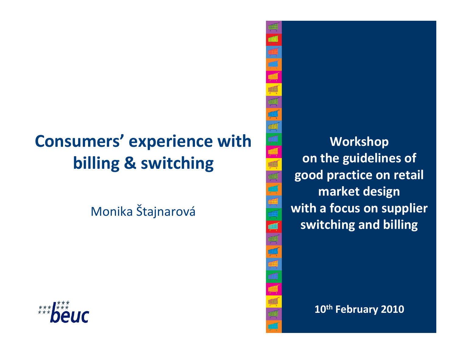# Consumers' experience with billing & switching

Monika Štajnarová



Workshop on the guidelines of good practice on retail market design with a focus on supplier switching and billing

#### $\frac{10^{th}}{10^{th}}$  February 2010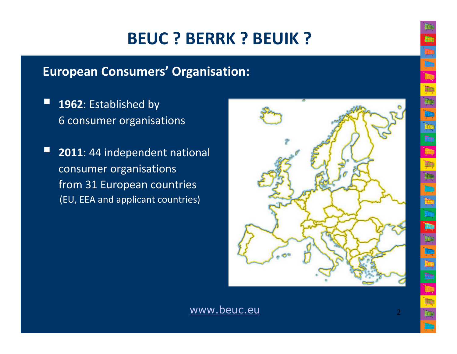# BEUC ? BERRK ? BEUIK ?

#### European Consumers' Organisation:

- $\Box$ 1962: Established by 6 consumer organisations
- $\Box$ 2011: 44 independent national consumer organisations from 31 European countries (EU, EEA and applicant countries)



www.beuc.eu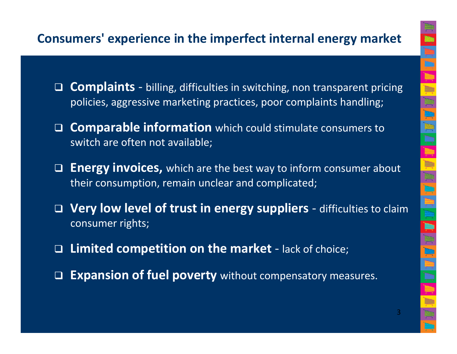#### Consumers' experience in the imperfect internal energy market

- □ Complaints - billing, difficulties in switching, non transparent pricing policies, aggressive marketing practices, poor complaints handling;
- □ Comparable information which could stimulate consumers to switch are often not available;
- □ Energy invoices, which are the best way to inform consumer about their consumption, remain unclear and complicated;
- □ Very low level of trust in energy suppliers - difficulties to claim consumer rights;
- $\Box$  Limited competition on the market - lack of choice;
- □ Expansion of fuel poverty without compensatory measures.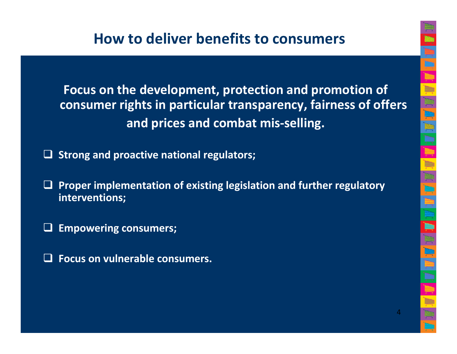### How to deliver benefits to consumers

Focus on the development, protection and promotion of consumer rights in particular transparency, fairness of offers and prices and combat mis-selling.

□ Strong and proactive national regulators;

- $\Box$  Proper implementation of existing legislation and further regulatory interventions;
- **a** Empowering consumers;
- $\Box$ Focus on vulnerable consumers.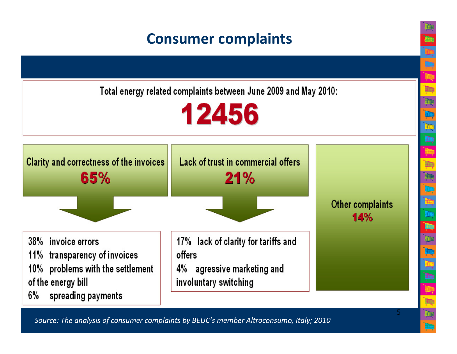### Consumer complaints

Total energy related complaints between June 2009 and May 2010:





5

Source: The analysis of consumer complaints by BEUC's member Altroconsumo, Italy; 2010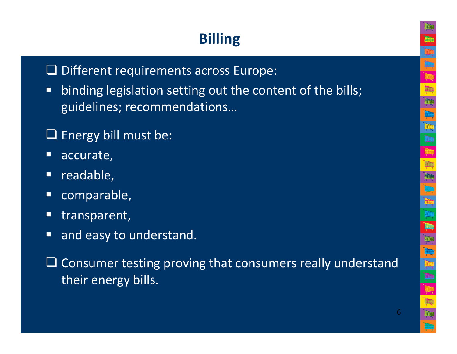# Billing

# - Different requirements across Europe:

- $\blacksquare$  binding legislation setting out the content of the bills; guidelines; recommendations…
- $\Box$  Energy bill must be:
- $\Box$ accurate,
- $\Box$ readable,
- $\Box$ comparable,
- C transparent,
- $\Box$ and easy to understand.
- □ Consumer testing proving that consumers really understand<br>their energy bills their energy bills.

6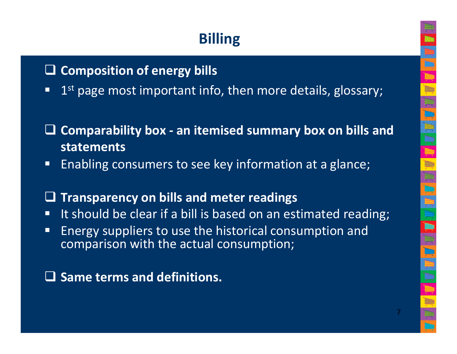### Billing

# **Q Composition of energy bills**

 $\Box$ 1<sup>st</sup> page most important info, then more details, glossary;

#### - Comparability box - an itemised summary box on bills and statements

 $\Box$ Enabling consumers to see key information at a glance;

#### $\Box$ Transparency on bills and meter readings

- It should be clear if a bill is based on an estimated reading;
- $\Box$  Energy suppliers to use the historical consumption and comparison with the actual consumption;

- Same terms and definitions.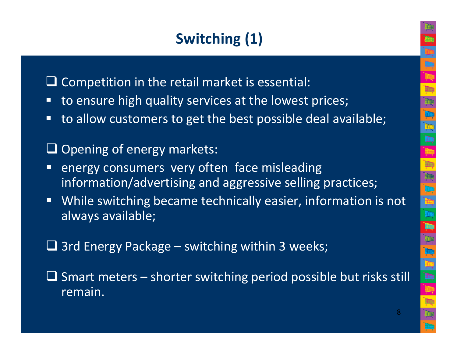### Switching (1)

□ Competition in the retail market is essential:

- to ensure high quality services at the lowest prices;
- $\Box$ to allow customers to get the best possible deal available;

# □ Opening of energy markets:

- energy consumers very often face misleading information/advertising and aggressive selling practices;
- $\Box$  While switching became technically easier, information is not always available;

# **□ 3rd Energy Package – switching within 3 weeks;**

 $\Box$  Smart meters – shorter switching period possible but risks still remain remain.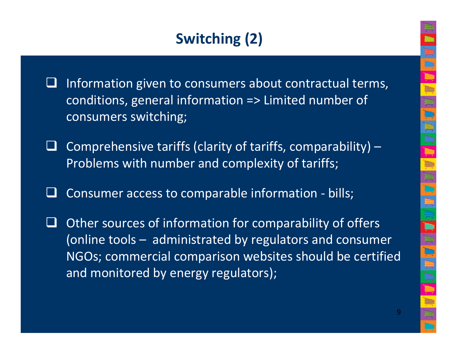### Switching (2)

- $\Box$  Information given to consumers about contractual terms, conditions, general information => Limited number ofconsumers switching;
- $\Box$  Comprehensive tariffs (clarity of tariffs, comparability) – Problems with number and complexity of tariffs;
- $\Box$ Consumer access to comparable information - bills;
- $\Box$  Other sources of information for comparability of offers (online tools – administrated by regulators and consumer NGOs; commercial comparison websites should be certified and monitored by energy regulators);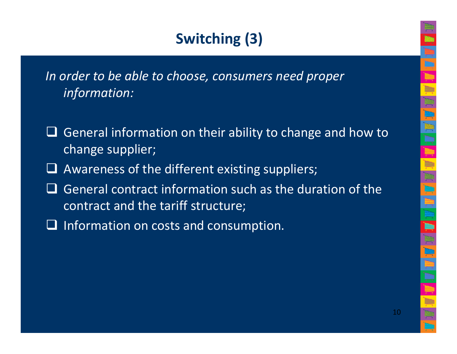# Switching (3)

In order to be able to choose, consumers need proper information:

- $\Box$  General information on their ability to change and how to change supplier;
- □ Awareness of the different existing suppliers;
- $\Box$  General contract information such as the duration of the contract and the tariff structure: contract and the tariff structure;
- **□** Information on costs and consumption.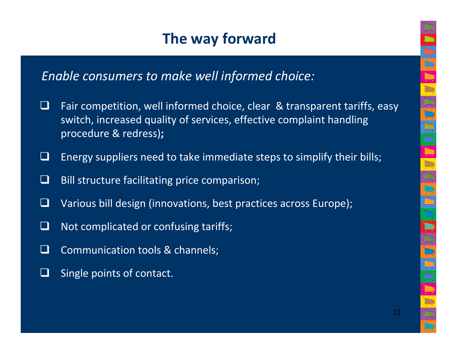### The way forward

Enable consumers to make well informed choice:

- - Fair competition, well informed choice, clear & transparent tariffs, easy switch, increased quality of services, effective complaint handling procedure & redress);
- $\Box$ Energy suppliers need to take immediate steps to simplify their bills;
- $\Box$ Bill structure facilitating price comparison;
- $\Box$ Various bill design (innovations, best practices across Europe);
- $\Box$ Not complicated or confusing tariffs;
- $\Box$ Communication tools & channels;
- $\Box$ Single points of contact.